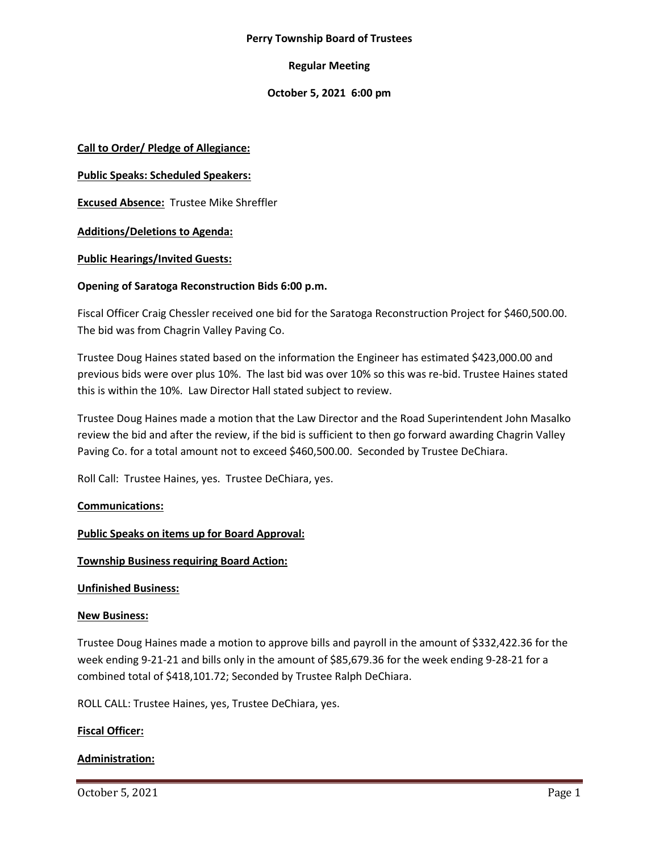#### **Perry Township Board of Trustees**

# **Regular Meeting**

# **October 5, 2021 6:00 pm**

**Call to Order/ Pledge of Allegiance:**

**Public Speaks: Scheduled Speakers:**

**Excused Absence:** Trustee Mike Shreffler

**Additions/Deletions to Agenda:**

## **Public Hearings/Invited Guests:**

## **Opening of Saratoga Reconstruction Bids 6:00 p.m.**

Fiscal Officer Craig Chessler received one bid for the Saratoga Reconstruction Project for \$460,500.00. The bid was from Chagrin Valley Paving Co.

Trustee Doug Haines stated based on the information the Engineer has estimated \$423,000.00 and previous bids were over plus 10%. The last bid was over 10% so this was re-bid. Trustee Haines stated this is within the 10%. Law Director Hall stated subject to review.

Trustee Doug Haines made a motion that the Law Director and the Road Superintendent John Masalko review the bid and after the review, if the bid is sufficient to then go forward awarding Chagrin Valley Paving Co. for a total amount not to exceed \$460,500.00. Seconded by Trustee DeChiara.

Roll Call: Trustee Haines, yes. Trustee DeChiara, yes.

# **Communications:**

#### **Public Speaks on items up for Board Approval:**

#### **Township Business requiring Board Action:**

#### **Unfinished Business:**

#### **New Business:**

Trustee Doug Haines made a motion to approve bills and payroll in the amount of \$332,422.36 for the week ending 9-21-21 and bills only in the amount of \$85,679.36 for the week ending 9-28-21 for a combined total of \$418,101.72; Seconded by Trustee Ralph DeChiara.

ROLL CALL: Trustee Haines, yes, Trustee DeChiara, yes.

# **Fiscal Officer:**

#### **Administration:**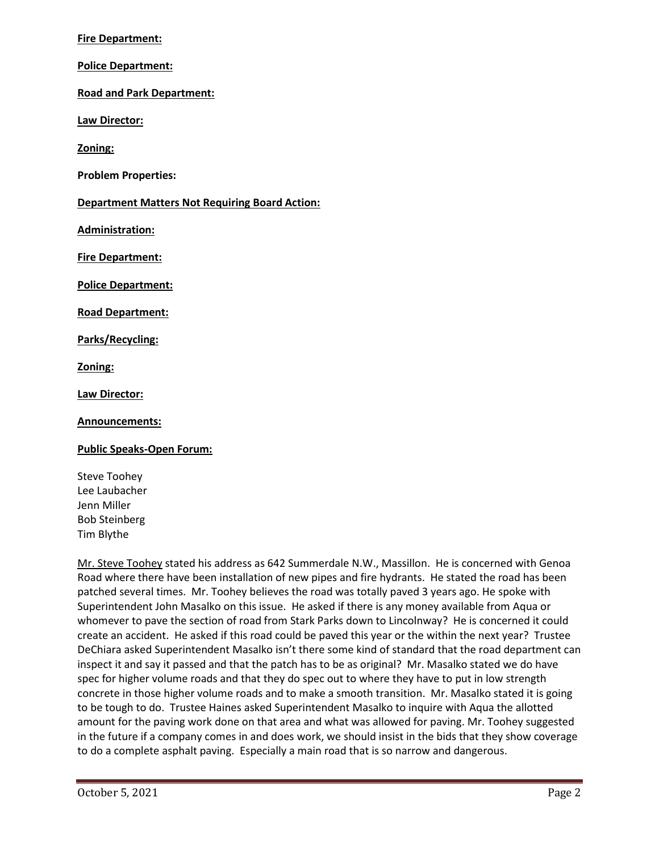## **Fire Department:**

**Police Department:**

**Road and Park Department:**

**Law Director:**

**Zoning:**

**Problem Properties:**

**Department Matters Not Requiring Board Action:**

**Administration:**

**Fire Department:**

**Police Department:**

**Road Department:**

**Parks/Recycling:**

**Zoning:**

**Law Director:**

**Announcements:**

**Public Speaks-Open Forum:**

Steve Toohey Lee Laubacher Jenn Miller Bob Steinberg Tim Blythe

Mr. Steve Toohey stated his address as 642 Summerdale N.W., Massillon. He is concerned with Genoa Road where there have been installation of new pipes and fire hydrants. He stated the road has been patched several times. Mr. Toohey believes the road was totally paved 3 years ago. He spoke with Superintendent John Masalko on this issue. He asked if there is any money available from Aqua or whomever to pave the section of road from Stark Parks down to Lincolnway? He is concerned it could create an accident. He asked if this road could be paved this year or the within the next year? Trustee DeChiara asked Superintendent Masalko isn't there some kind of standard that the road department can inspect it and say it passed and that the patch has to be as original? Mr. Masalko stated we do have spec for higher volume roads and that they do spec out to where they have to put in low strength concrete in those higher volume roads and to make a smooth transition. Mr. Masalko stated it is going to be tough to do. Trustee Haines asked Superintendent Masalko to inquire with Aqua the allotted amount for the paving work done on that area and what was allowed for paving. Mr. Toohey suggested in the future if a company comes in and does work, we should insist in the bids that they show coverage to do a complete asphalt paving. Especially a main road that is so narrow and dangerous.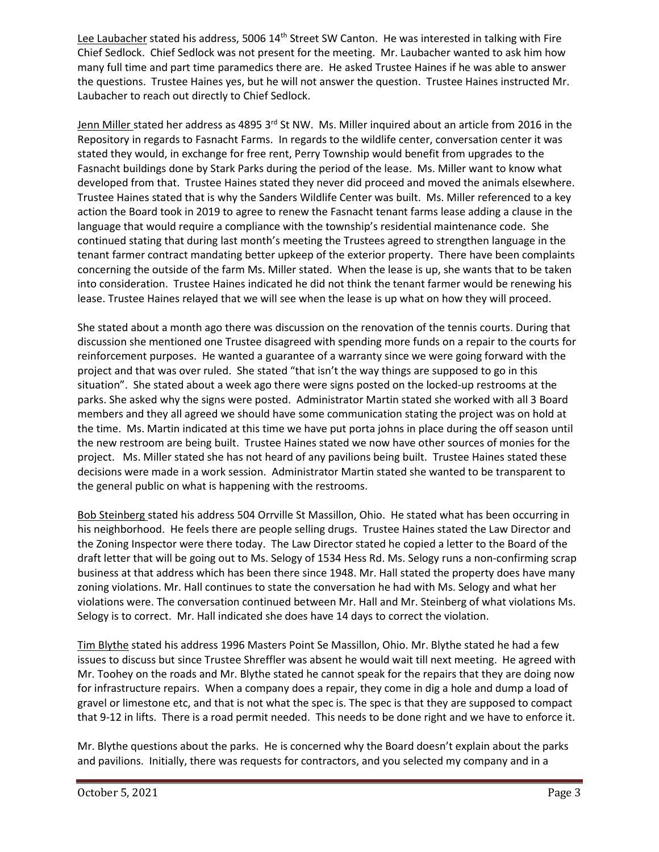Lee Laubacher stated his address, 5006  $14<sup>th</sup>$  Street SW Canton. He was interested in talking with Fire Chief Sedlock. Chief Sedlock was not present for the meeting. Mr. Laubacher wanted to ask him how many full time and part time paramedics there are. He asked Trustee Haines if he was able to answer the questions. Trustee Haines yes, but he will not answer the question. Trustee Haines instructed Mr. Laubacher to reach out directly to Chief Sedlock.

Jenn Miller stated her address as 4895 3rd St NW. Ms. Miller inquired about an article from 2016 in the Repository in regards to Fasnacht Farms. In regards to the wildlife center, conversation center it was stated they would, in exchange for free rent, Perry Township would benefit from upgrades to the Fasnacht buildings done by Stark Parks during the period of the lease. Ms. Miller want to know what developed from that. Trustee Haines stated they never did proceed and moved the animals elsewhere. Trustee Haines stated that is why the Sanders Wildlife Center was built. Ms. Miller referenced to a key action the Board took in 2019 to agree to renew the Fasnacht tenant farms lease adding a clause in the language that would require a compliance with the township's residential maintenance code. She continued stating that during last month's meeting the Trustees agreed to strengthen language in the tenant farmer contract mandating better upkeep of the exterior property. There have been complaints concerning the outside of the farm Ms. Miller stated. When the lease is up, she wants that to be taken into consideration. Trustee Haines indicated he did not think the tenant farmer would be renewing his lease. Trustee Haines relayed that we will see when the lease is up what on how they will proceed.

She stated about a month ago there was discussion on the renovation of the tennis courts. During that discussion she mentioned one Trustee disagreed with spending more funds on a repair to the courts for reinforcement purposes. He wanted a guarantee of a warranty since we were going forward with the project and that was over ruled. She stated "that isn't the way things are supposed to go in this situation". She stated about a week ago there were signs posted on the locked-up restrooms at the parks. She asked why the signs were posted. Administrator Martin stated she worked with all 3 Board members and they all agreed we should have some communication stating the project was on hold at the time. Ms. Martin indicated at this time we have put porta johns in place during the off season until the new restroom are being built. Trustee Haines stated we now have other sources of monies for the project. Ms. Miller stated she has not heard of any pavilions being built. Trustee Haines stated these decisions were made in a work session. Administrator Martin stated she wanted to be transparent to the general public on what is happening with the restrooms.

Bob Steinberg stated his address 504 Orrville St Massillon, Ohio. He stated what has been occurring in his neighborhood. He feels there are people selling drugs. Trustee Haines stated the Law Director and the Zoning Inspector were there today. The Law Director stated he copied a letter to the Board of the draft letter that will be going out to Ms. Selogy of 1534 Hess Rd. Ms. Selogy runs a non-confirming scrap business at that address which has been there since 1948. Mr. Hall stated the property does have many zoning violations. Mr. Hall continues to state the conversation he had with Ms. Selogy and what her violations were. The conversation continued between Mr. Hall and Mr. Steinberg of what violations Ms. Selogy is to correct. Mr. Hall indicated she does have 14 days to correct the violation.

Tim Blythe stated his address 1996 Masters Point Se Massillon, Ohio. Mr. Blythe stated he had a few issues to discuss but since Trustee Shreffler was absent he would wait till next meeting. He agreed with Mr. Toohey on the roads and Mr. Blythe stated he cannot speak for the repairs that they are doing now for infrastructure repairs. When a company does a repair, they come in dig a hole and dump a load of gravel or limestone etc, and that is not what the spec is. The spec is that they are supposed to compact that 9-12 in lifts. There is a road permit needed. This needs to be done right and we have to enforce it.

Mr. Blythe questions about the parks. He is concerned why the Board doesn't explain about the parks and pavilions. Initially, there was requests for contractors, and you selected my company and in a